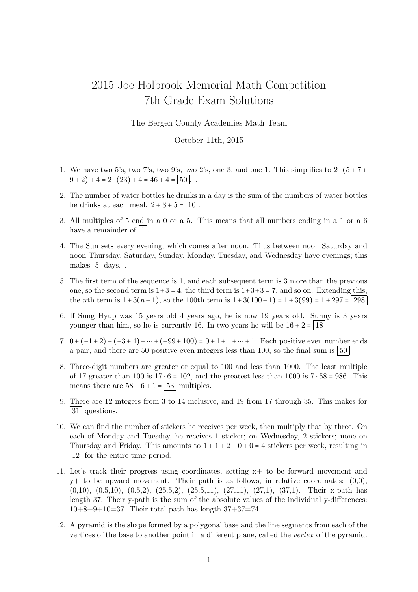## 2015 Joe Holbrook Memorial Math Competition 7th Grade Exam Solutions

The Bergen County Academies Math Team

## October 11th, 2015

- 1. We have two 5's, two 7's, two 9's, two 2's, one 3, and one 1. This simplifies to  $2 \cdot (5 + 7 + 1)$  $(9 + 2) + 4 = 2 \cdot (23) + 4 = 46 + 4 = |50|$ .
- 2. The number of water bottles he drinks in a day is the sum of the numbers of water bottles he drinks at each meal.  $2 + 3 + 5 = |10|$ .
- 3. All multiples of 5 end in a 0 or a 5. This means that all numbers ending in a 1 or a 6 have a remainder of  $|1|$ .
- 4. The Sun sets every evening, which comes after noon. Thus between noon Saturday and noon Thursday, Saturday, Sunday, Monday, Tuesday, and Wednesday have evenings; this makes  $|5|$  days...
- 5. The first term of the sequence is 1, and each subsequent term is 3 more than the previous one, so the second term is  $1+3=4$ , the third term is  $1+3+3=7$ , and so on. Extending this, the *n*th term is  $1 + 3(n-1)$ , so the 100th term is  $1 + 3(100-1) = 1 + 3(99) = 1 + 297 = 298$
- 6. If Sung Hyup was 15 years old 4 years ago, he is now 19 years old. Sunny is 3 years younger than him, so he is currently 16. In two years he will be  $16 + 2 = 18$
- 7.  $0 + (-1 + 2) + (-3 + 4) + \cdots + (-99 + 100) = 0 + 1 + 1 + \cdots + 1$ . Each positive even number ends a pair, and there are 50 positive even integers less than 100, so the final sum is  $\vert 50 \rangle$
- 8. Three-digit numbers are greater or equal to 100 and less than 1000. The least multiple of 17 greater than 100 is  $17 \cdot 6 = 102$ , and the greatest less than 1000 is  $7 \cdot 58 = 986$ . This means there are  $58 - 6 + 1 = 53$  multiples.
- 9. There are 12 integers from 3 to 14 inclusive, and 19 from 17 through 35. This makes for 31 questions.
- 10. We can find the number of stickers he receives per week, then multiply that by three. On each of Monday and Tuesday, he receives 1 sticker; on Wednesday, 2 stickers; none on Thursday and Friday. This amounts to  $1 + 1 + 2 + 0 + 0 = 4$  stickers per week, resulting in 12 for the entire time period.
- 11. Let's track their progress using coordinates, setting x+ to be forward movement and  $y+$  to be upward movement. Their path is as follows, in relative coordinates:  $(0,0)$ , (0,10), (0.5,10), (0.5,2), (25.5,2), (25.5,11), (27,11), (27,1), (37,1). Their x-path has length 37. Their y-path is the sum of the absolute values of the individual y-differences:  $10+8+9+10=37$ . Their total path has length  $37+37=74$ .
- 12. A pyramid is the shape formed by a polygonal base and the line segments from each of the vertices of the base to another point in a different plane, called the vertex of the pyramid.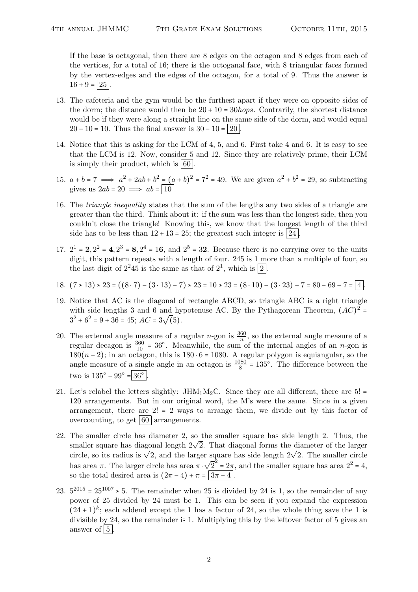If the base is octagonal, then there are 8 edges on the octagon and 8 edges from each of the vertices, for a total of 16; there is the octoganal face, with 8 triangular faces formed by the vertex-edges and the edges of the octagon, for a total of 9. Thus the answer is  $16 + 9 = 25$ 

- 13. The cafeteria and the gym would be the furthest apart if they were on opposite sides of the dorm; the distance would then be  $20 + 10 = 30hops$ . Contrarily, the shortest distance would be if they were along a straight line on the same side of the dorm, and would equal  $20 - 10 = 10$ . Thus the final answer is  $30 - 10 = 20$ .
- 14. Notice that this is asking for the LCM of 4, 5, and 6. First take 4 and 6. It is easy to see that the LCM is 12. Now, consider 5 and 12. Since they are relatively prime, their LCM is simply their product, which is  $\vert 60 \vert$
- 15.  $a + b = 7 \implies a^2 + 2ab + b^2 = (a + b)^2 = 7^2 = 49$ . We are given  $a^2 + b^2 = 29$ , so subtracting gives us  $2ab = 20 \implies ab = |10|$ .
- 16. The triangle inequality states that the sum of the lengths any two sides of a triangle are greater than the third. Think about it: if the sum was less than the longest side, then you couldn't close the triangle! Knowing this, we know that the longest length of the third side has to be less than  $12 + 13 = 25$ ; the greatest such integer is  $\lfloor 24 \rfloor$ .
- 17.  $2^1 = 2$ ,  $2^2 = 4$ ,  $2^3 = 8$ ,  $2^4 = 16$ , and  $2^5 = 32$ . Because there is no carrying over to the units digit, this pattern repeats with a length of four. 245 is 1 more than a multiple of four, so the last digit of  $2^2 45$  is the same as that of  $2^1$ , which is  $\boxed{2}$ .
- 18.  $(7 \times 13) \times 23 = ((8 \cdot 7) (3 \cdot 13) 7) \times 23 = 10 \times 23 = (8 \cdot 10) (3 \cdot 23) 7 = 80 69 7 = 4$ .
- 19. Notice that AC is the diagonal of rectangle ABCD, so triangle ABC is a right triangle with side lengths 3 and 6 and hypotenuse AC. By the Pythagorean Theorem,  $(AC)^2 =$  $3^2 + 6^2 = 9 + 36 = 45$ ;  $AC = 3\sqrt(5)$ .
- 20. The external angle measure of a regular *n*-gon is  $\frac{360}{n}$ , so the external angle measure of a regular decagon is  $\frac{360}{10}$  = 36°. Meanwhile, the sum of the internal angles of an *n*-gon is 180(n − 2); in an octagon, this is 180 ⋅ 6 = 1080. A regular polygon is equiangular, so the angle measure of a single angle in an octagon is  $\frac{1080}{8} = 135^{\circ}$ . The difference between the two is  $135^{\circ} - 99^{\circ} = 36^{\circ}$ .
- 21. Let's relabel the letters slightly: JHM<sub>1</sub>M<sub>2</sub>C. Since they are all different, there are 5! = 120 arrangements. But in our original word, the M's were the same. Since in a given arrangement, there are  $2! = 2$  ways to arrange them, we divide out by this factor of overcounting, to get  $\vert 60 \vert$  arrangements.
- 22. The smaller circle has diameter 2, so the smaller square has side length 2. Thus, the The smaller circle has diameter 2, so the smaller square has side length 2. Thus, the smaller square has diagonal length  $2\sqrt{2}$ . That diagonal forms the diameter of the larger smaller square has diagonal length  $2\nabla 2$ . That diagonal forms the diameter of the larger circle circle, so its radius is  $\sqrt{2}$ , and the larger square has side length  $2\sqrt{2}$ . The smaller circle has area  $\pi$ . The larger circle has area  $\pi \cdot$ √  $\overline{2}^2 = 2\pi$ , and the smaller square has area  $2^2 = 4$ , so the total desired area is  $(2\pi - 4) + \pi = \sqrt{3\pi - 4}$ .
- 23.  $5^{2015} = 25^{1007} * 5$ . The remainder when 25 is divided by 24 is 1, so the remainder of any power of 25 divided by 24 must be 1. This can be seen if you expand the expression  $(24+1)^k$ ; each addend except the 1 has a factor of 24, so the whole thing save the 1 is divisible by 24, so the remainder is 1. Multiplying this by the leftover factor of 5 gives an answer of  $|5|$ .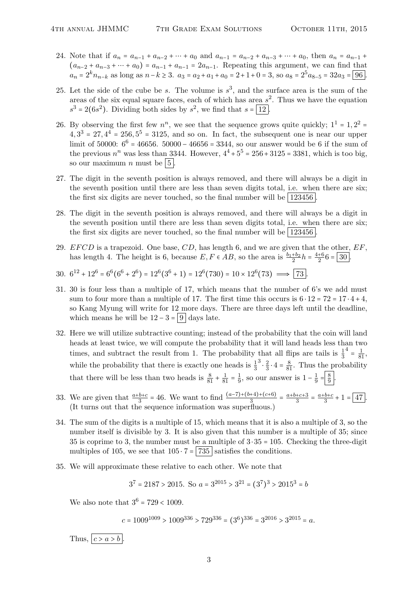- 24. Note that if  $a_n = a_{n-1} + a_{n-2} + \cdots + a_0$  and  $a_{n-1} = a_{n-2} + a_{n-3} + \cdots + a_0$ , then  $a_n = a_{n-1}$  $(a_{n-2} + a_{n-3} + \cdots + a_0) = a_{n-1} + a_{n-1} = 2a_{n-1}$ . Repeating this argument, we can find that  $a_n = 2^k n_{n-k}$  as long as  $n-k \ge 3$ .  $a_3 = a_2 + a_1 + a_0 = 2+1+0=3$ , so  $a_8 = 2^5 a_{8-5} = 32a_3 = 96$ .
- 25. Let the side of the cube be s. The volume is  $s^3$ , and the surface area is the sum of the areas of the six equal square faces, each of which has area  $s^2$ . Thus we have the equation  $s^3 = 2(6s^2)$ . Dividing both sides by  $s^2$ , we find that  $s = \boxed{12}$ .
- 26. By observing the first few  $n^n$ , we see that the sequence grows quite quickly;  $1^1 = 1, 2^2 =$  $4, 3<sup>3</sup> = 27, 4<sup>4</sup> = 256, 5<sup>5</sup> = 3125,$  and so on. In fact, the subsequent one is near our upper limit of 50000:  $6^6 = 46656$ . 50000 – 46656 = 3344, so our answer would be 6 if the sum of the previous  $n^n$  was less than 3344. However,  $4^4 + 5^5 = 256 + 3125 = 3381$ , which is too big, so our maximum *n* must be  $\vert 5 \vert$ .
- 27. The digit in the seventh position is always removed, and there will always be a digit in the seventh position until there are less than seven digits total, i.e. when there are six; the first six digits are never touched, so the final number will be  $123456$ .
- 28. The digit in the seventh position is always removed, and there will always be a digit in the seventh position until there are less than seven digits total, i.e. when there are six; the first six digits are never touched, so the final number will be  $|123456|$ .
- 29.  $EFCD$  is a trapezoid. One base,  $CD$ , has length 6, and we are given that the other,  $EF$ , has length 4. The height is 6, because  $E, F \in AB$ , so the area is  $\frac{b_1+b_2}{2}h = \frac{4+6}{2}$  $rac{+6}{2}6 = 30$ .

30. 
$$
6^{12} + 12^6 = 6^6(6^6 + 2^6) = 12^6(3^6 + 1) = 12^6(730) = 10 \times 12^6(73) \implies \boxed{73}
$$
.

- 31. 30 is four less than a multiple of 17, which means that the number of 6's we add must sum to four more than a multiple of 17. The first time this occurs is  $6 \cdot 12 = 72 = 17 \cdot 4 + 4$ , so Kang Myung will write for 12 more days. There are three days left until the deadline, which means he will be  $12 - 3 = |9|$  days late.
- 32. Here we will utilize subtractive counting; instead of the probability that the coin will land heads at least twice, we will compute the probability that it will land heads less than two times, and subtract the result from 1. The probability that all flips are tails is  $\frac{1}{3}$  $4 = \frac{1}{81}$ while the probability that there is exactly one heads is  $\frac{1}{3}$  $3 \cdot \frac{2}{3}$  $\frac{2}{3} \cdot 4 = \frac{8}{81}$ . Thus the probability that there will be less than two heads is  $\frac{8}{81} + \frac{1}{81} = \frac{1}{9}$  $\frac{1}{9}$ , so our answer is  $1 - \frac{1}{9}$  $rac{1}{9} = \frac{8}{9}$  $rac{8}{9}$ .
- 33. We are given that  $\frac{a+b+c}{3} = 46$ . We want to find  $\frac{(a-7)+(b+4)+(c+6)}{3} = \frac{a+b+c+3}{3}$  $\frac{+c+3}{3} = \frac{a+b+c}{3}$  $\frac{b+c}{3}+1=\boxed{47}$ . (It turns out that the sequence information was superfluous.)
- 34. The sum of the digits is a multiple of 15, which means that it is also a multiple of 3, so the number itself is divisible by 3. It is also given that this number is a multiple of 35; since 35 is coprime to 3, the number must be a multiple of  $3 \cdot 35 = 105$ . Checking the three-digit multiples of 105, we see that  $105 \cdot 7 = |735|$  satisfies the conditions.
- 35. We will approximate these relative to each other. We note that

$$
3^7 = 2187 > 2015
$$
. So  $a = 3^{2015} > 3^{21} = (3^7)^3 > 2015^3 = b$ 

We also note that  $3^6 = 729 < 1009$ .

 $c = 1009^{1009} > 1009^{336} > 729^{336} = (3^6)^{336} = 3^{2016} > 3^{2015} = a.$ 

Thus,  $|c > a > b|$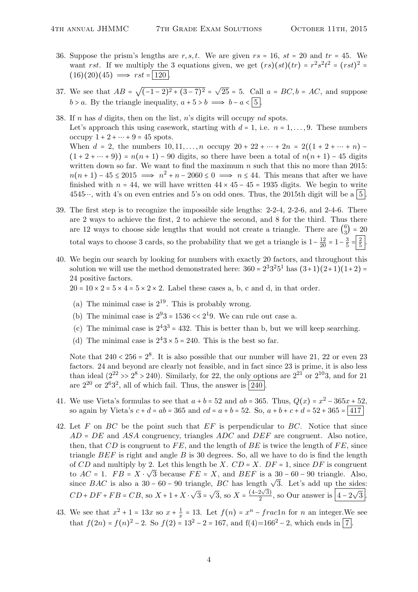- 36. Suppose the prism's lengths are  $r, s, t$ . We are given  $rs = 16$ ,  $st = 20$  and  $tr = 45$ . We want rst. If we multiply the 3 equations given, we get  $(rs)(st)(tr) = r^2s^2t^2 = (rst)^2 =$  $(16)(20)(45) \implies rst = 120$
- 37. We see that  $AB =$ √  $\sqrt{(-1-2)^2+(3-7)^2}=\sqrt{2}$  $25 = 5$ . Call  $a = BC, b = AC$ , and suppose  $b > a$ . By the triangle inequality,  $a + 5 > b \implies b - a < 5$ .
- 38. If n has d digits, then on the list, n's digits will occupy nd spots. Let's approach this using casework, starting with  $d = 1$ , i.e.  $n = 1, \ldots, 9$ . These numbers occupy  $1 + 2 + \cdots + 9 = 45$  spots. When  $d = 2$ , the numbers  $10, 11, \ldots, n$  occupy  $20 + 22 + \cdots + 2n = 2((1 + 2 + \cdots + n)) (1 + 2 + \cdots + 9) = n(n + 1) - 90$  digits, so there have been a total of  $n(n + 1) - 45$  digits written down so far. We want to find the maximum  $n$  such that this no more than 2015:  $n(n+1) - 45 \leq 2015 \implies n^2 + n - 2060 \leq 0 \implies n \leq 44$ . This means that after we have finished with  $n = 44$ , we will have written  $44 \times 45 - 45 = 1935$  digits. We begin to write 4545…, with 4's on even entries and 5's on odd ones. Thus, the 2015th digit will be a  $\vert 5 \vert$ .
- 39. The first step is to recognize the impossible side lengths: 2-2-4, 2-2-6, and 2-4-6. There are 2 ways to achieve the first, 2 to achieve the second, and 8 for the third. Thus there are 12 ways to choose side lengths that would not create a triangle. There are  $\binom{6}{3}$  $\binom{6}{3}$  = 20 total ways to choose 3 cards, so the probability that we get a triangle is  $1 - \frac{12}{20} = 1 - \frac{3}{5}$  $rac{3}{5} = \frac{2}{5}$  $rac{2}{5}$ .
- 40. We begin our search by looking for numbers with exactly 20 factors, and throughout this solution we will use the method demonstrated here:  $360 = 2^3 3^2 5^1$  has  $(3+1)(2+1)(1+2) =$ 24 positive factors.

 $20 = 10 \times 2 = 5 \times 4 = 5 \times 2 \times 2$ . Label these cases a, b, c and d, in that order.

- (a) The minimal case is  $2^{19}$ . This is probably wrong.
- (b) The minimal case is  $2^93 = 1536 \ll 2^19$ . We can rule out case a.
- (c) The minimal case is  $2^43^3 = 432$ . This is better than b, but we will keep searching.
- (d) The minimal case is  $2^43 \times 5 = 240$ . This is the best so far.

Note that  $240 < 256 = 2^8$ . It is also possible that our number will have 21, 22 or even 23 factors. 24 and beyond are clearly not feasible, and in fact since 23 is prime, it is also less than ideal  $(2^{22} > 2^8 > 240)$ . Similarly, for 22, the only options are  $2^{21}$  or  $2^{10}3$ , and for 21 are  $2^{20}$  or  $2^63^2$ , all of which fail. Thus, the answer is  $\boxed{240}$ .

- 41. We use Vieta's formulas to see that  $a + b = 52$  and  $ab = 365$ . Thus,  $Q(x) = x^2 365x + 52$ , so again by Vieta's  $c + d = ab = 365$  and  $cd = a + b = 52$ . So,  $a + b + c + d = 52 + 365 = |417|$
- 42. Let  $F$  on  $BC$  be the point such that  $EF$  is perpendicular to  $BC$ . Notice that since  $AD = DE$  and ASA congruency, triangles ADC and DEF are congruent. Also notice, then, that  $CD$  is congruent to FE, and the length of BE is twice the length of FE, since triangle  $BEF$  is right and angle B is 30 degrees. So, all we have to do is find the length of CD and multiply by 2. Let this length be X.  $CD = X$ .  $DF = 1$ , since  $DF$  is congruent to  $AC = 1$ .  $FB = X \cdot \sqrt{3}$  because  $FE = X$ , and  $BEF$  is a 30 – 60 – 90 triangle. Also,  $\begin{array}{lll}\n\text{for } BAC = 1. & F D = A \cdot \sqrt{3} \text{ because } F E = A, \\
\text{for } BAC = 1. & F D = A \cdot \sqrt{3} \text{ because } F E = A, \\
\text{for } BAC = 1. & F D = 1. & F D = 1. \\
\text{for } BAC = 1. & F D = 1. & F D = 1. \\
\text{for } BAC = 1. & F D = 1. & F D = 1. \\
\text{for } BAC = 1. & F D = 1. & F D = 1. & F D = 1. \\
\text{for } BAC = 1$  $CD + DF + FB = CB$ , so  $X + 1 + X$ . √  $3 =$ √  $\sqrt{3}$ , so  $X = \frac{(4-2\sqrt{3})}{2}$  $\frac{2\sqrt{3}}{2}$ , so Our answer is  $\boxed{4-2}$  $\frac{1}{\sqrt{2}}$  $3 \mid$
- 43. We see that  $x^2 + 1 = 13x$  so  $x + \frac{1}{x}$  $\frac{1}{x}$  = 13. Let  $f(n) = x^n - \frac{f}{na}$  for n an integer. We see that  $f(2n) = f(n)^2 - 2$ . So  $f(2) = 13^2 - 2 = 167$ , and  $f(4)=166^2 - 2$ , which ends in  $\boxed{7}$ .